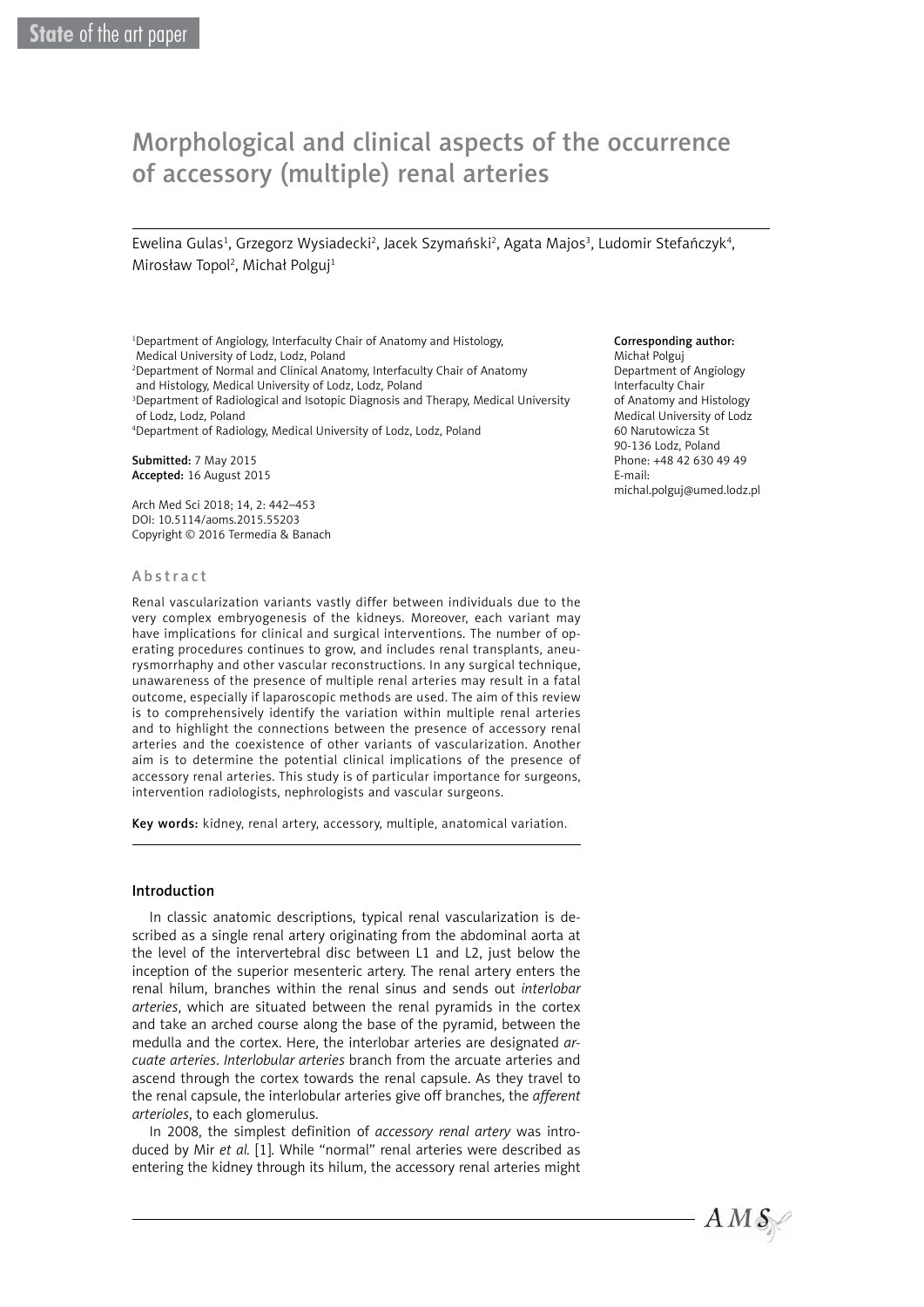# Morphological and clinical aspects of the occurrence of accessory (multiple) renal arteries

Ewelina Gulas<sup>1</sup>, Grzegorz Wysiadecki<sup>2</sup>, Jacek Szymański<sup>2</sup>, Agata Majos<sup>3</sup>, Ludomir Stefańczyk<sup>4</sup>, Mirosław Topol<sup>2</sup>, Michał Polguj<sup>1</sup>

1 Department of Angiology, Interfaculty Chair of Anatomy and Histology, Medical University of Lodz, Lodz, Poland

2 Department of Normal and Clinical Anatomy, Interfaculty Chair of Anatomy

and Histology, Medical University of Lodz, Lodz, Poland

3 Department of Radiological and Isotopic Diagnosis and Therapy, Medical University of Lodz, Lodz, Poland

4 Department of Radiology, Medical University of Lodz, Lodz, Poland

Submitted: 7 May 2015 Accepted: 16 August 2015

Arch Med Sci 2018; 14, 2: 442–453 DOI: 10.5114/aoms.2015.55203 Copyright © 2016 Termedia & Banach

#### Abstract

Renal vascularization variants vastly differ between individuals due to the very complex embryogenesis of the kidneys. Moreover, each variant may have implications for clinical and surgical interventions. The number of operating procedures continues to grow, and includes renal transplants, aneurysmorrhaphy and other vascular reconstructions. In any surgical technique, unawareness of the presence of multiple renal arteries may result in a fatal outcome, especially if laparoscopic methods are used. The aim of this review is to comprehensively identify the variation within multiple renal arteries and to highlight the connections between the presence of accessory renal arteries and the coexistence of other variants of vascularization. Another aim is to determine the potential clinical implications of the presence of accessory renal arteries. This study is of particular importance for surgeons, intervention radiologists, nephrologists and vascular surgeons.

Key words: kidney, renal artery, accessory, multiple, anatomical variation.

#### Introduction

In classic anatomic descriptions, typical renal vascularization is described as a single renal artery originating from the abdominal aorta at the level of the intervertebral disc between L1 and L2, just below the inception of the superior mesenteric artery. The renal artery enters the renal hilum, branches within the renal sinus and sends out *interlobar arteries*, which are situated between the renal pyramids in the cortex and take an arched course along the base of the pyramid, between the medulla and the cortex. Here, the interlobar arteries are designated *arcuate arteries*. *Interlobular arteries* branch from the arcuate arteries and ascend through the cortex towards the renal capsule. As they travel to the renal capsule, the interlobular arteries give off branches, the *afferent arterioles*, to each glomerulus.

In 2008, the simplest definition of *accessory renal artery* was introduced by Mir *et al.* [1]. While "normal" renal arteries were described as entering the kidney through its hilum, the accessory renal arteries might

#### Corresponding author:

Michał Polguj Department of Angiology Interfaculty Chair of Anatomy and Histology Medical University of Lodz 60 Narutowicza St 90-136 Lodz, Poland Phone: +48 42 630 49 49 E-mail: michal.polguj@umed.lodz.pl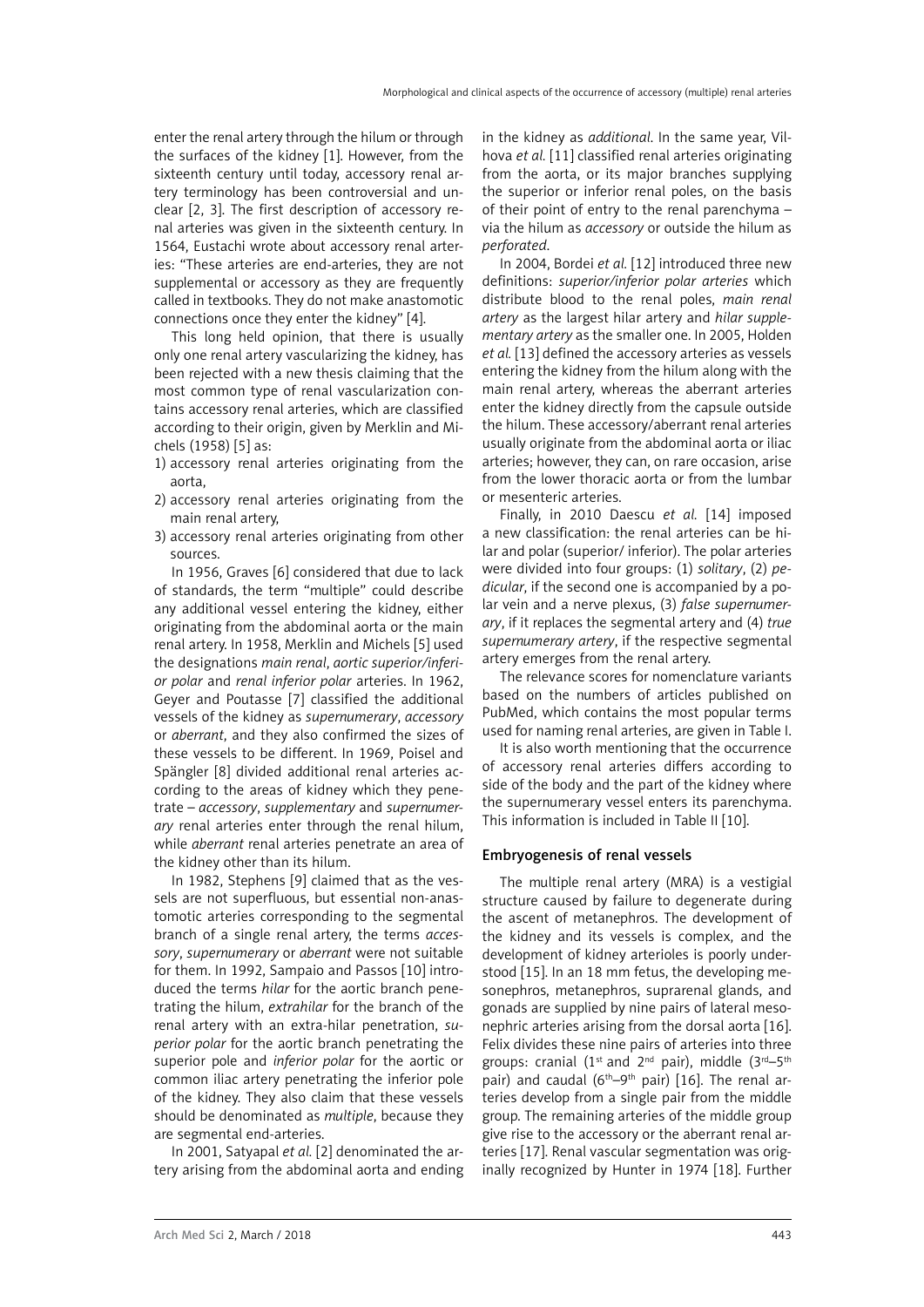enter the renal artery through the hilum or through the surfaces of the kidney [1]. However, from the sixteenth century until today, accessory renal artery terminology has been controversial and unclear [2, 3]. The first description of accessory renal arteries was given in the sixteenth century. In 1564, Eustachi wrote about accessory renal arteries: "These arteries are end-arteries, they are not supplemental or accessory as they are frequently called in textbooks. They do not make anastomotic connections once they enter the kidney" [4].

This long held opinion, that there is usually only one renal artery vascularizing the kidney, has been rejected with a new thesis claiming that the most common type of renal vascularization contains accessory renal arteries, which are classified according to their origin, given by Merklin and Michels (1958) [5] as:

- 1) accessory renal arteries originating from the aorta,
- 2) accessory renal arteries originating from the main renal artery,
- 3) accessory renal arteries originating from other sources.

In 1956, Graves [6] considered that due to lack of standards, the term "multiple" could describe any additional vessel entering the kidney, either originating from the abdominal aorta or the main renal artery. In 1958, Merklin and Michels [5] used the designations *main renal*, *aortic superior/inferior polar* and *renal inferior polar* arteries. In 1962, Geyer and Poutasse [7] classified the additional vessels of the kidney as *supernumerary*, *accessory* or *aberrant*, and they also confirmed the sizes of these vessels to be different. In 1969, Poisel and Spängler [8] divided additional renal arteries according to the areas of kidney which they penetrate – *accessory*, *supplementary* and *supernumerary* renal arteries enter through the renal hilum, while *aberrant* renal arteries penetrate an area of the kidney other than its hilum.

In 1982, Stephens [9] claimed that as the vessels are not superfluous, but essential non-anastomotic arteries corresponding to the segmental branch of a single renal artery, the terms *accessory*, *supernumerary* or *aberrant* were not suitable for them. In 1992, Sampaio and Passos [10] introduced the terms *hilar* for the aortic branch penetrating the hilum, *extrahilar* for the branch of the renal artery with an extra-hilar penetration, *superior polar* for the aortic branch penetrating the superior pole and *inferior polar* for the aortic or common iliac artery penetrating the inferior pole of the kidney. They also claim that these vessels should be denominated as *multiple*, because they are segmental end-arteries.

In 2001, Satyapal *et al.* [2] denominated the artery arising from the abdominal aorta and ending in the kidney as *additional*. In the same year, Vilhova *et al.* [11] classified renal arteries originating from the aorta, or its major branches supplying the superior or inferior renal poles, on the basis of their point of entry to the renal parenchyma – via the hilum as *accessory* or outside the hilum as *perforated*.

In 2004, Bordei *et al.* [12] introduced three new definitions: *superior/inferior polar arteries* which distribute blood to the renal poles, *main renal artery* as the largest hilar artery and *hilar supplementary artery* as the smaller one. In 2005, Holden *et al.* [13] defined the accessory arteries as vessels entering the kidney from the hilum along with the main renal artery, whereas the aberrant arteries enter the kidney directly from the capsule outside the hilum. These accessory/aberrant renal arteries usually originate from the abdominal aorta or iliac arteries; however, they can, on rare occasion, arise from the lower thoracic aorta or from the lumbar or mesenteric arteries.

Finally, in 2010 Daescu *et al.* [14] imposed a new classification: the renal arteries can be hilar and polar (superior/ inferior). The polar arteries were divided into four groups: (1) *solitary*, (2) *pedicular*, if the second one is accompanied by a polar vein and a nerve plexus, (3) *false supernumerary*, if it replaces the segmental artery and (4) *true supernumerary artery*, if the respective segmental artery emerges from the renal artery.

The relevance scores for nomenclature variants based on the numbers of articles published on PubMed, which contains the most popular terms used for naming renal arteries, are given in Table I.

It is also worth mentioning that the occurrence of accessory renal arteries differs according to side of the body and the part of the kidney where the supernumerary vessel enters its parenchyma. This information is included in Table II [10].

# Embryogenesis of renal vessels

The multiple renal artery (MRA) is a vestigial structure caused by failure to degenerate during the ascent of metanephros. The development of the kidney and its vessels is complex, and the development of kidney arterioles is poorly understood [15]. In an 18 mm fetus, the developing mesonephros, metanephros, suprarenal glands, and gonads are supplied by nine pairs of lateral mesonephric arteries arising from the dorsal aorta [16]. Felix divides these nine pairs of arteries into three groups: cranial (1<sup>st</sup> and 2<sup>nd</sup> pair), middle (3<sup>rd</sup>–5<sup>th</sup>) pair) and caudal  $(6<sup>th</sup>-9<sup>th</sup>$  pair) [16]. The renal arteries develop from a single pair from the middle group. The remaining arteries of the middle group give rise to the accessory or the aberrant renal arteries [17]. Renal vascular segmentation was originally recognized by Hunter in 1974 [18]. Further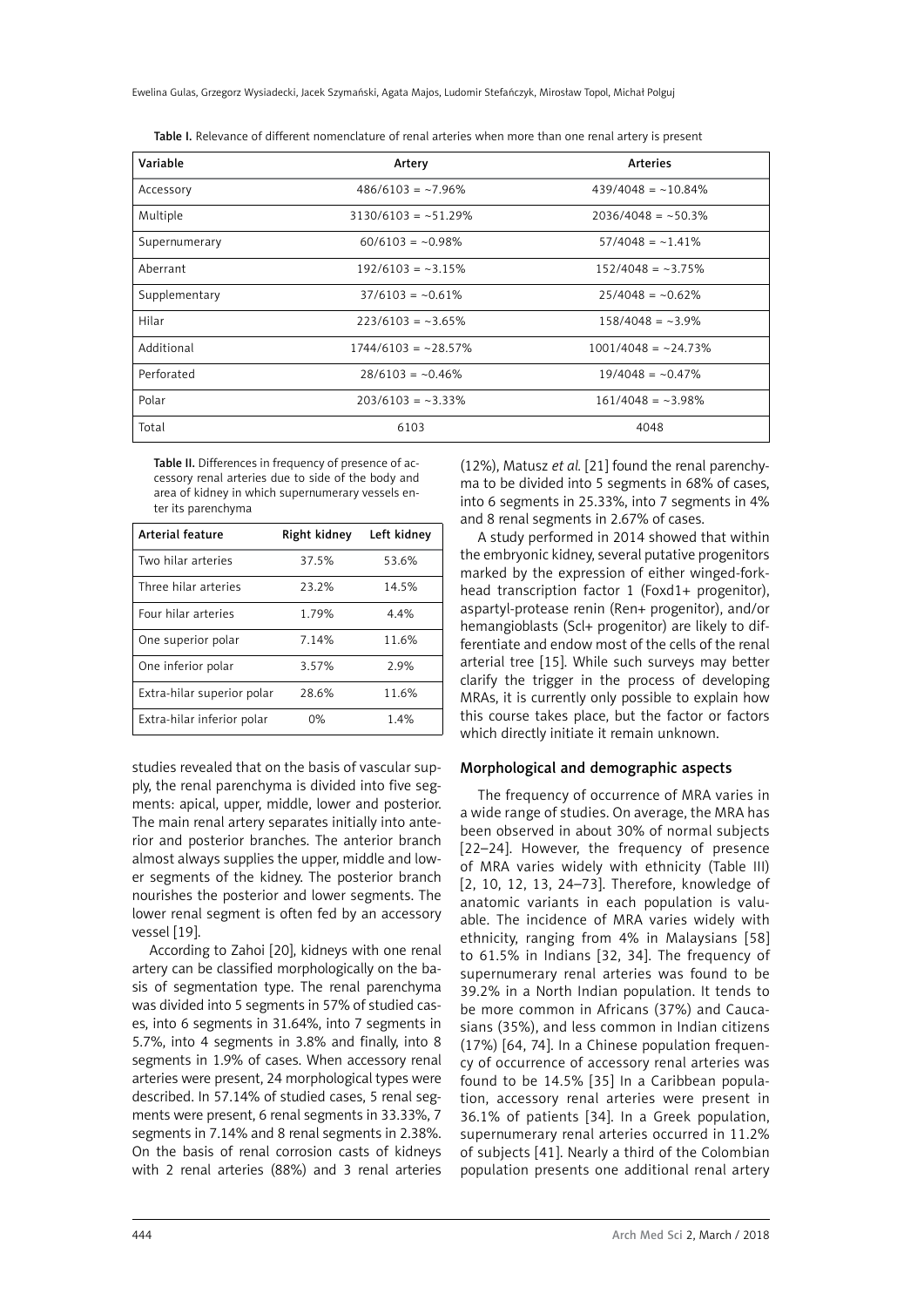Ewelina Gulas, Grzegorz Wysiadecki, Jacek Szymański, Agata Majos, Ludomir Stefańczyk, Mirosław Topol, Michał Polguj

| Variable      | Artery                | Arteries              |
|---------------|-----------------------|-----------------------|
| Accessory     | $486/6103 = -7.96\%$  | $439/4048 = -10.84%$  |
| Multiple      | $3130/6103 = -51.29%$ | $2036/4048 = -50.3%$  |
| Supernumerary | $60/6103 = -0.98\%$   | $57/4048 = -1.41\%$   |
| Aberrant      | $192/6103 = -3.15%$   | $152/4048 = -3.75\%$  |
| Supplementary | $37/6103 = -0.61\%$   | $25/4048 = -0.62%$    |
| Hilar         | $223/6103 = -3.65\%$  | $158/4048 = -3.9%$    |
| Additional    | $1744/6103 = -28.57%$ | $1001/4048 = -24.73%$ |
| Perforated    | $28/6103 = -0.46\%$   | $19/4048 = -0.47\%$   |
| Polar         | $203/6103 = -3.33\%$  | $161/4048 = -3.98\%$  |
| Total         | 6103                  | 4048                  |

Table I. Relevance of different nomenclature of renal arteries when more than one renal artery is present

Table II. Differences in frequency of presence of accessory renal arteries due to side of the body and area of kidney in which supernumerary vessels enter its parenchyma

| <b>Arterial feature</b>    | Right kidney | Left kidney |
|----------------------------|--------------|-------------|
| Two hilar arteries         | 37.5%        | 53.6%       |
| Three hilar arteries       | 23.2%        | 14.5%       |
| Four hilar arteries        | 1.79%        | 4.4%        |
| One superior polar         | 7.14%        | 11.6%       |
| One inferior polar         | 3.57%        | 2.9%        |
| Extra-hilar superior polar | 28.6%        | 11.6%       |
| Extra-hilar inferior polar | 0%           | 1.4%        |

studies revealed that on the basis of vascular supply, the renal parenchyma is divided into five segments: apical, upper, middle, lower and posterior. The main renal artery separates initially into anterior and posterior branches. The anterior branch almost always supplies the upper, middle and lower segments of the kidney. The posterior branch nourishes the posterior and lower segments. The lower renal segment is often fed by an accessory vessel [19].

According to Zahoi [20], kidneys with one renal artery can be classified morphologically on the basis of segmentation type. The renal parenchyma was divided into 5 segments in 57% of studied cases, into 6 segments in 31.64%, into 7 segments in 5.7%, into 4 segments in 3.8% and finally, into 8 segments in 1.9% of cases. When accessory renal arteries were present, 24 morphological types were described. In 57.14% of studied cases, 5 renal segments were present, 6 renal segments in 33.33%, 7 segments in 7.14% and 8 renal segments in 2.38%. On the basis of renal corrosion casts of kidneys with 2 renal arteries (88%) and 3 renal arteries (12%), Matusz *et al.* [21] found the renal parenchyma to be divided into 5 segments in 68% of cases, into 6 segments in 25.33%, into 7 segments in 4% and 8 renal segments in 2.67% of cases.

A study performed in 2014 showed that within the embryonic kidney, several putative progenitors marked by the expression of either winged-forkhead transcription factor 1 (Foxd1+ progenitor), aspartyl-protease renin (Ren+ progenitor), and/or hemangioblasts (Scl+ progenitor) are likely to differentiate and endow most of the cells of the renal arterial tree [15]. While such surveys may better clarify the trigger in the process of developing MRAs, it is currently only possible to explain how this course takes place, but the factor or factors which directly initiate it remain unknown.

# Morphological and demographic aspects

The frequency of occurrence of MRA varies in a wide range of studies. On average, the MRA has been observed in about 30% of normal subjects [22–24]. However, the frequency of presence of MRA varies widely with ethnicity (Table III) [2, 10, 12, 13, 24–73]. Therefore, knowledge of anatomic variants in each population is valuable. The incidence of MRA varies widely with ethnicity, ranging from 4% in Malaysians [58] to 61.5% in Indians [32, 34]. The frequency of supernumerary renal arteries was found to be 39.2% in a North Indian population. It tends to be more common in Africans (37%) and Caucasians (35%), and less common in Indian citizens (17%) [64, 74]. In a Chinese population frequency of occurrence of accessory renal arteries was found to be 14.5% [35] In a Caribbean population, accessory renal arteries were present in 36.1% of patients [34]. In a Greek population, supernumerary renal arteries occurred in 11.2% of subjects [41]. Nearly a third of the Colombian population presents one additional renal artery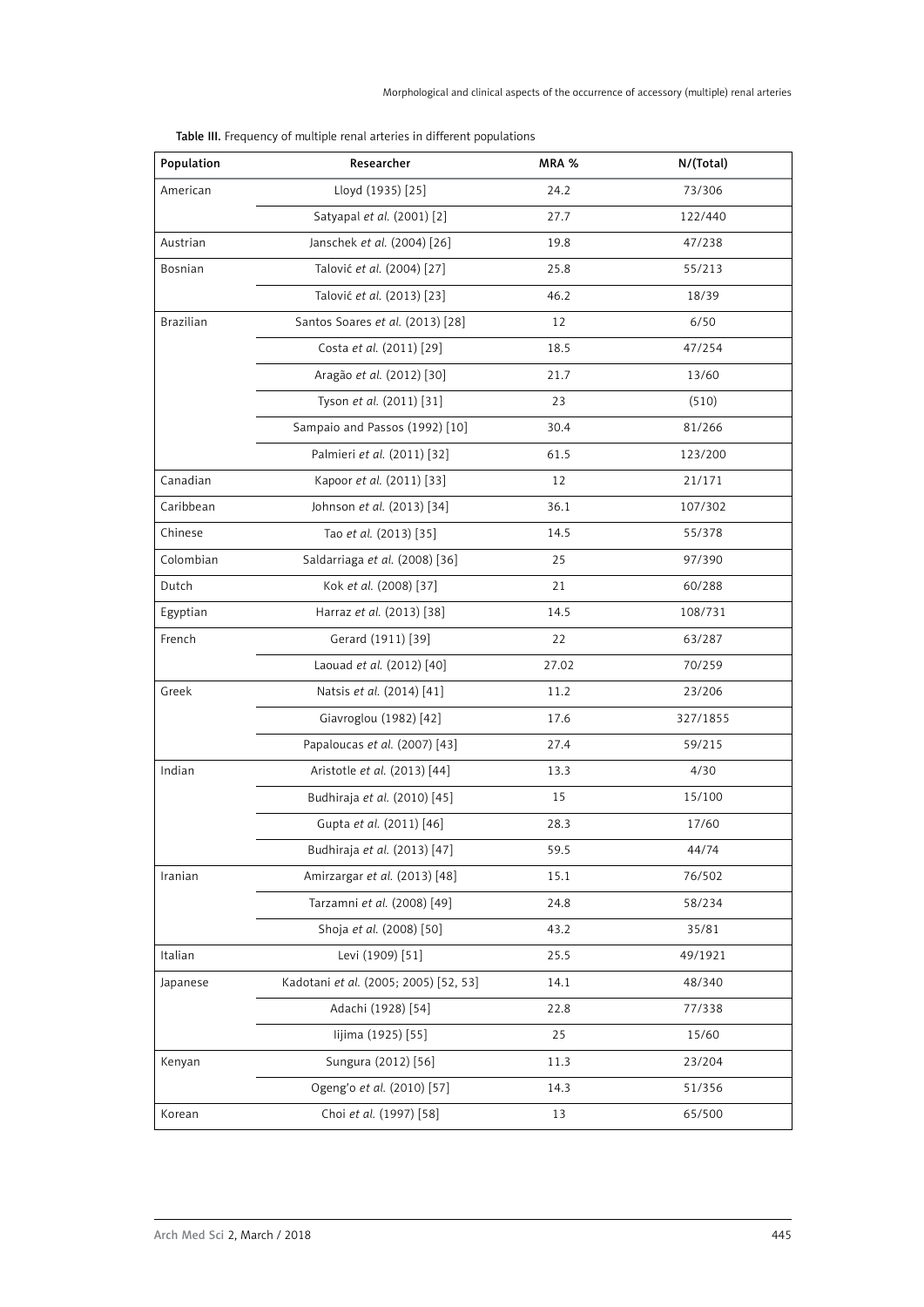|  |  |  | Table III. Frequency of multiple renal arteries in different populations |  |  |
|--|--|--|--------------------------------------------------------------------------|--|--|
|--|--|--|--------------------------------------------------------------------------|--|--|

| Population                            | Researcher                            | MRA % | N/(Total) |
|---------------------------------------|---------------------------------------|-------|-----------|
| American                              | Lloyd (1935) [25]                     | 24.2  | 73/306    |
|                                       | Satyapal et al. (2001) [2]            | 27.7  | 122/440   |
| Austrian                              | Janschek et al. (2004) [26]           | 19.8  | 47/238    |
| Bosnian                               | Talović et al. (2004) [27]            | 25.8  | 55/213    |
|                                       | Talović et al. (2013) [23]            | 46.2  | 18/39     |
| <b>Brazilian</b>                      | Santos Soares et al. (2013) [28]      | 12    | 6/50      |
|                                       | Costa et al. (2011) [29]              | 18.5  | 47/254    |
|                                       | Aragão et al. (2012) [30]             | 21.7  | 13/60     |
|                                       | Tyson et al. (2011) [31]              | 23    | (510)     |
|                                       | Sampaio and Passos (1992) [10]        | 30.4  | 81/266    |
|                                       | Palmieri et al. (2011) [32]           | 61.5  | 123/200   |
| Canadian                              | Kapoor et al. (2011) [33]             | 12    | 21/171    |
| Caribbean                             | Johnson et al. (2013) [34]            | 36.1  | 107/302   |
| Chinese                               | Tao et al. (2013) [35]                | 14.5  | 55/378    |
| Colombian                             | Saldarriaga et al. (2008) [36]        | 25    | 97/390    |
| Dutch<br>Kok et al. (2008) [37]       |                                       | 21    | 60/288    |
| Egyptian<br>Harraz et al. (2013) [38] |                                       | 14.5  | 108/731   |
| French                                | Gerard (1911) [39]                    | 22    | 63/287    |
|                                       | Laouad et al. (2012) [40]             | 27.02 | 70/259    |
| Greek                                 | Natsis et al. (2014) [41]             | 11.2  | 23/206    |
|                                       | Giavroglou (1982) [42]                | 17.6  | 327/1855  |
|                                       | Papaloucas et al. (2007) [43]         | 27.4  | 59/215    |
| Indian                                | Aristotle et al. (2013) [44]          | 13.3  | 4/30      |
|                                       | Budhiraja et al. (2010) [45]          | 15    | 15/100    |
|                                       | Gupta et al. (2011) [46]              | 28.3  | 17/60     |
|                                       | Budhiraja et al. (2013) [47]          | 59.5  | 44/74     |
| Iranian                               | Amirzargar et al. (2013) [48]         | 15.1  | 76/502    |
|                                       | Tarzamni et al. (2008) [49]           | 24.8  | 58/234    |
|                                       | Shoja et al. (2008) [50]              | 43.2  | 35/81     |
| Italian                               | Levi (1909) [51]                      | 25.5  | 49/1921   |
| Japanese                              | Kadotani et al. (2005; 2005) [52, 53] | 14.1  | 48/340    |
|                                       | Adachi (1928) [54]                    | 22.8  | 77/338    |
|                                       | lijima (1925) [55]                    | 25    | 15/60     |
| Kenyan                                | Sungura (2012) [56]                   | 11.3  | 23/204    |
|                                       | Ogeng'o et al. (2010) [57]            | 14.3  | 51/356    |
| Korean                                | Choi et al. (1997) [58]               | 13    | 65/500    |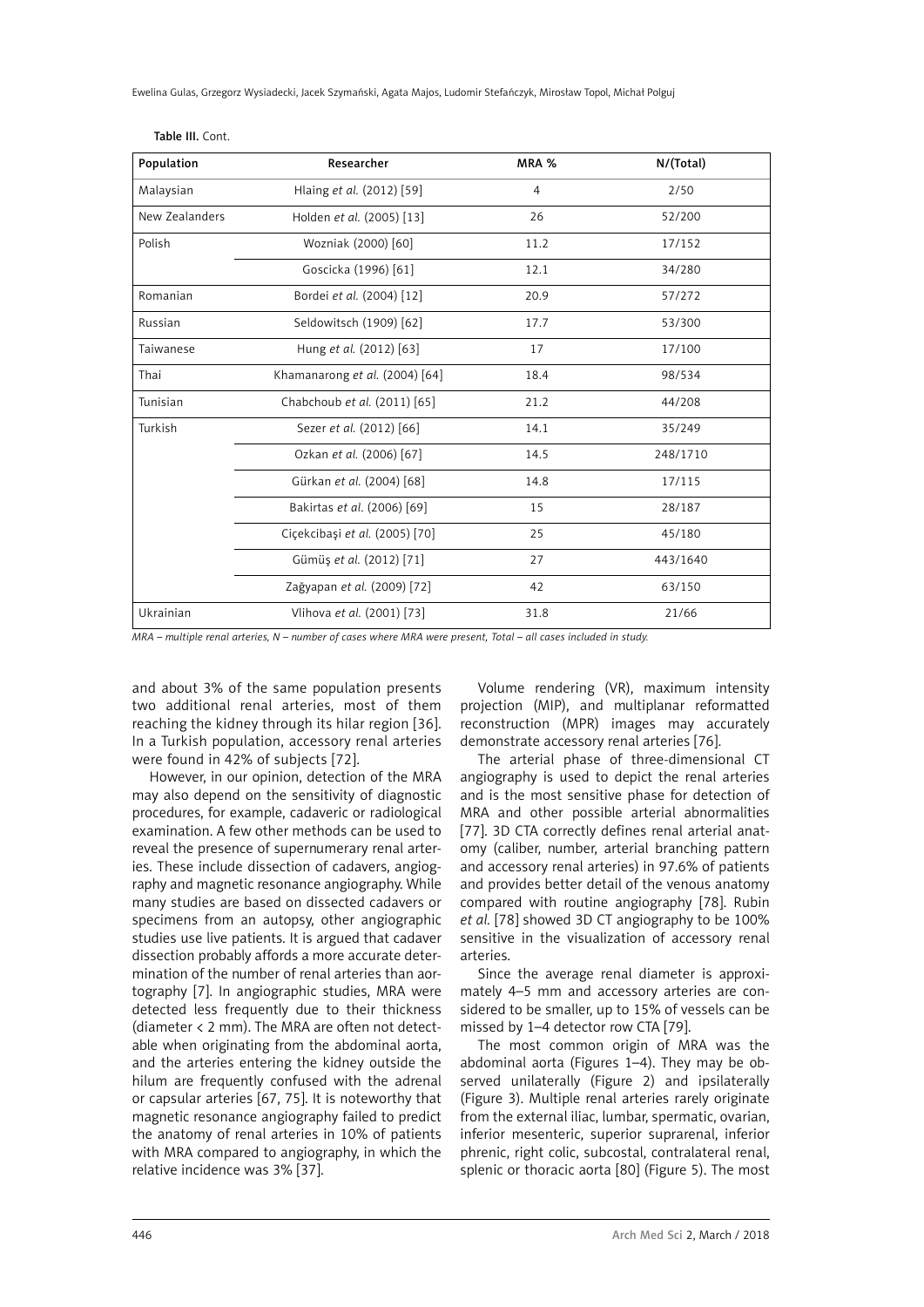Ewelina Gulas, Grzegorz Wysiadecki, Jacek Szymański, Agata Majos, Ludomir Stefańczyk, Mirosław Topol, Michał Polguj

| Population     | Researcher                     | MRA % | N/(Total) |
|----------------|--------------------------------|-------|-----------|
| Malaysian      | Hlaing et al. (2012) [59]      | 4     | 2/50      |
| New Zealanders | Holden et al. (2005) [13]      | 26    | 52/200    |
| Polish         | Wozniak (2000) [60]            | 11.2  | 17/152    |
|                | Goscicka (1996) [61]           | 12.1  | 34/280    |
| Romanian       | Bordei et al. (2004) [12]      | 20.9  | 57/272    |
| Russian        | Seldowitsch (1909) [62]        | 17.7  | 53/300    |
| Taiwanese      | Hung et al. (2012) [63]        | 17    | 17/100    |
| Thai           | Khamanarong et al. (2004) [64] | 18.4  | 98/534    |
| Tunisian       | Chabchoub et al. (2011) [65]   | 21.2  | 44/208    |
| Turkish        | Sezer et al. (2012) [66]       | 14.1  | 35/249    |
|                | Ozkan et al. (2006) [67]       | 14.5  | 248/1710  |
|                | Gürkan et al. (2004) [68]      | 14.8  | 17/115    |
|                | Bakirtas et al. (2006) [69]    | 15    | 28/187    |
|                | Ciçekcibaşi et al. (2005) [70] | 25    | 45/180    |
|                | Gümüş et al. (2012) [71]       | 27    | 443/1640  |
|                | Zağyapan et al. (2009) [72]    | 42    | 63/150    |
| Ukrainian      | Vlihova et al. (2001) [73]     | 31.8  | 21/66     |
|                |                                |       |           |

Table III. Cont.

*MRA – multiple renal arteries, N – number of cases where MRA were present, Total – all cases included in study.*

and about 3% of the same population presents two additional renal arteries, most of them reaching the kidney through its hilar region [36]. In a Turkish population, accessory renal arteries were found in 42% of subjects [72].

However, in our opinion, detection of the MRA may also depend on the sensitivity of diagnostic procedures, for example, cadaveric or radiological examination. A few other methods can be used to reveal the presence of supernumerary renal arteries. These include dissection of cadavers, angiography and magnetic resonance angiography. While many studies are based on dissected cadavers or specimens from an autopsy, other angiographic studies use live patients. It is argued that cadaver dissection probably affords a more accurate determination of the number of renal arteries than aortography [7]. In angiographic studies, MRA were detected less frequently due to their thickness (diameter < 2 mm). The MRA are often not detectable when originating from the abdominal aorta, and the arteries entering the kidney outside the hilum are frequently confused with the adrenal or capsular arteries [67, 75]. It is noteworthy that magnetic resonance angiography failed to predict the anatomy of renal arteries in 10% of patients with MRA compared to angiography, in which the relative incidence was 3% [37].

Volume rendering (VR), maximum intensity projection (MIP), and multiplanar reformatted reconstruction (MPR) images may accurately demonstrate accessory renal arteries [76].

The arterial phase of three-dimensional CT angiography is used to depict the renal arteries and is the most sensitive phase for detection of MRA and other possible arterial abnormalities [77]. 3D CTA correctly defines renal arterial anatomy (caliber, number, arterial branching pattern and accessory renal arteries) in 97.6% of patients and provides better detail of the venous anatomy compared with routine angiography [78]. Rubin *et al.* [78] showed 3D CT angiography to be 100% sensitive in the visualization of accessory renal arteries.

Since the average renal diameter is approximately 4–5 mm and accessory arteries are considered to be smaller, up to 15% of vessels can be missed by 1–4 detector row CTA [79].

The most common origin of MRA was the abdominal aorta (Figures 1–4). They may be observed unilaterally (Figure 2) and ipsilaterally (Figure 3). Multiple renal arteries rarely originate from the external iliac, lumbar, spermatic, ovarian, inferior mesenteric, superior suprarenal, inferior phrenic, right colic, subcostal, contralateral renal, splenic or thoracic aorta [80] (Figure 5). The most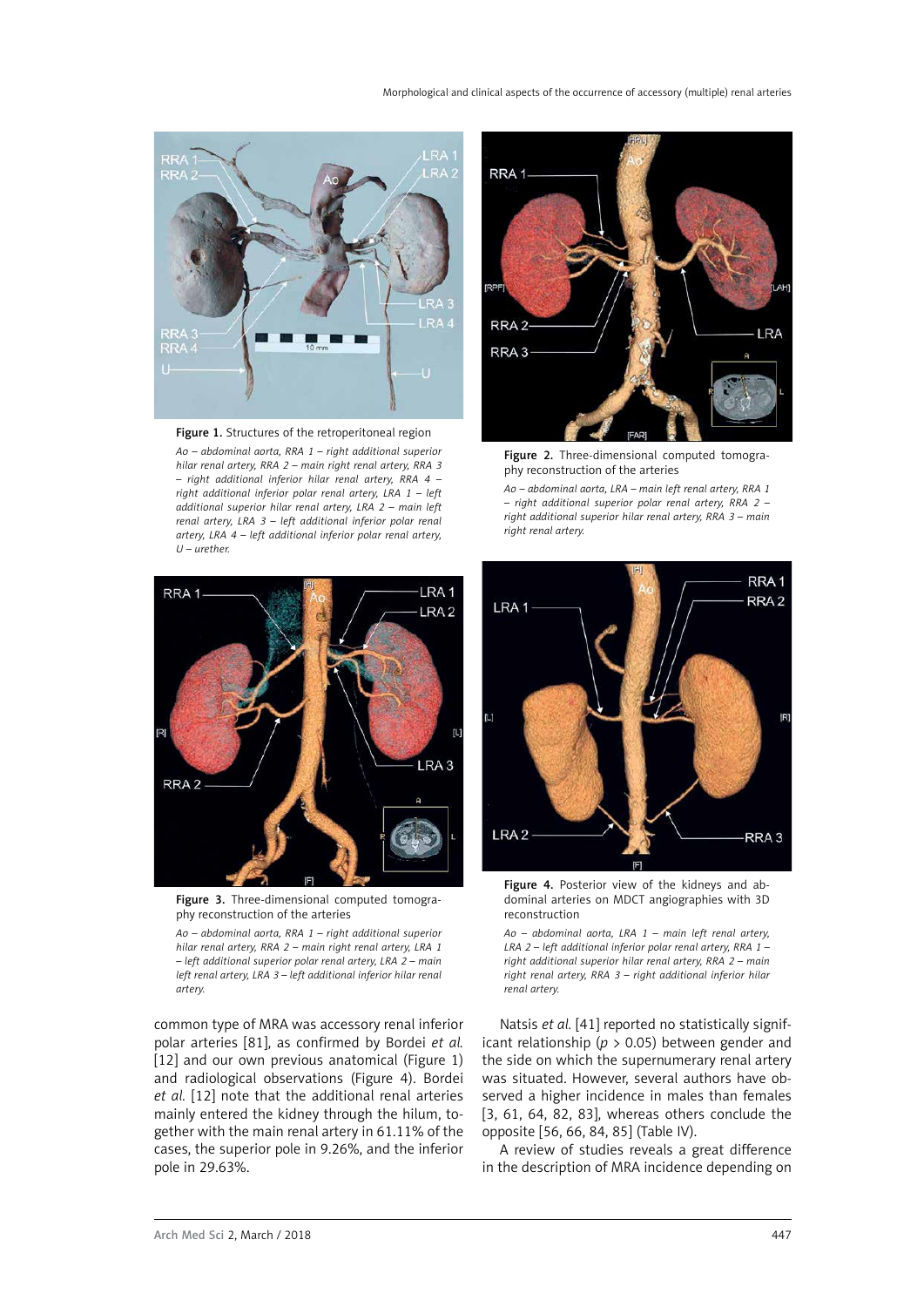

*Ao – abdominal aorta, RRA 1 – right additional superior hilar renal artery, RRA 2 – main right renal artery, RRA 3 – right additional inferior hilar renal artery, RRA 4 – right additional inferior polar renal artery, LRA 1 – left additional superior hilar renal artery, LRA 2 – main left renal artery, LRA 3 – left additional inferior polar renal artery, LRA 4 – left additional inferior polar renal artery, U – urether.*



Figure 2. Three-dimensional computed tomography reconstruction of the arteries

*Ao – abdominal aorta, LRA – main left renal artery, RRA 1 – right additional superior polar renal artery, RRA 2 – right additional superior hilar renal artery, RRA 3 – main right renal artery.*



Figure 3. Three-dimensional computed tomography reconstruction of the arteries

*Ao – abdominal aorta, RRA 1 – right additional superior hilar renal artery, RRA 2 – main right renal artery, LRA 1 – left additional superior polar renal artery, LRA 2 – main left renal artery, LRA 3 – left additional inferior hilar renal artery.*

common type of MRA was accessory renal inferior polar arteries [81], as confirmed by Bordei *et al.* [12] and our own previous anatomical (Figure 1) and radiological observations (Figure 4). Bordei *et al.* [12] note that the additional renal arteries mainly entered the kidney through the hilum, together with the main renal artery in 61.11% of the cases, the superior pole in 9.26%, and the inferior pole in 29.63%.



Figure 4. Posterior view of the kidneys and abdominal arteries on MDCT angiographies with 3D reconstruction

*Ao – abdominal aorta, LRA 1 – main left renal artery, LRA 2 – left additional inferior polar renal artery, RRA 1 – right additional superior hilar renal artery, RRA 2 – main right renal artery, RRA 3 – right additional inferior hilar renal artery.*

Natsis *et al.* [41] reported no statistically significant relationship (*p* > 0.05) between gender and the side on which the supernumerary renal artery was situated. However, several authors have observed a higher incidence in males than females [3, 61, 64, 82, 83], whereas others conclude the opposite [56, 66, 84, 85] (Table IV).

A review of studies reveals a great difference in the description of MRA incidence depending on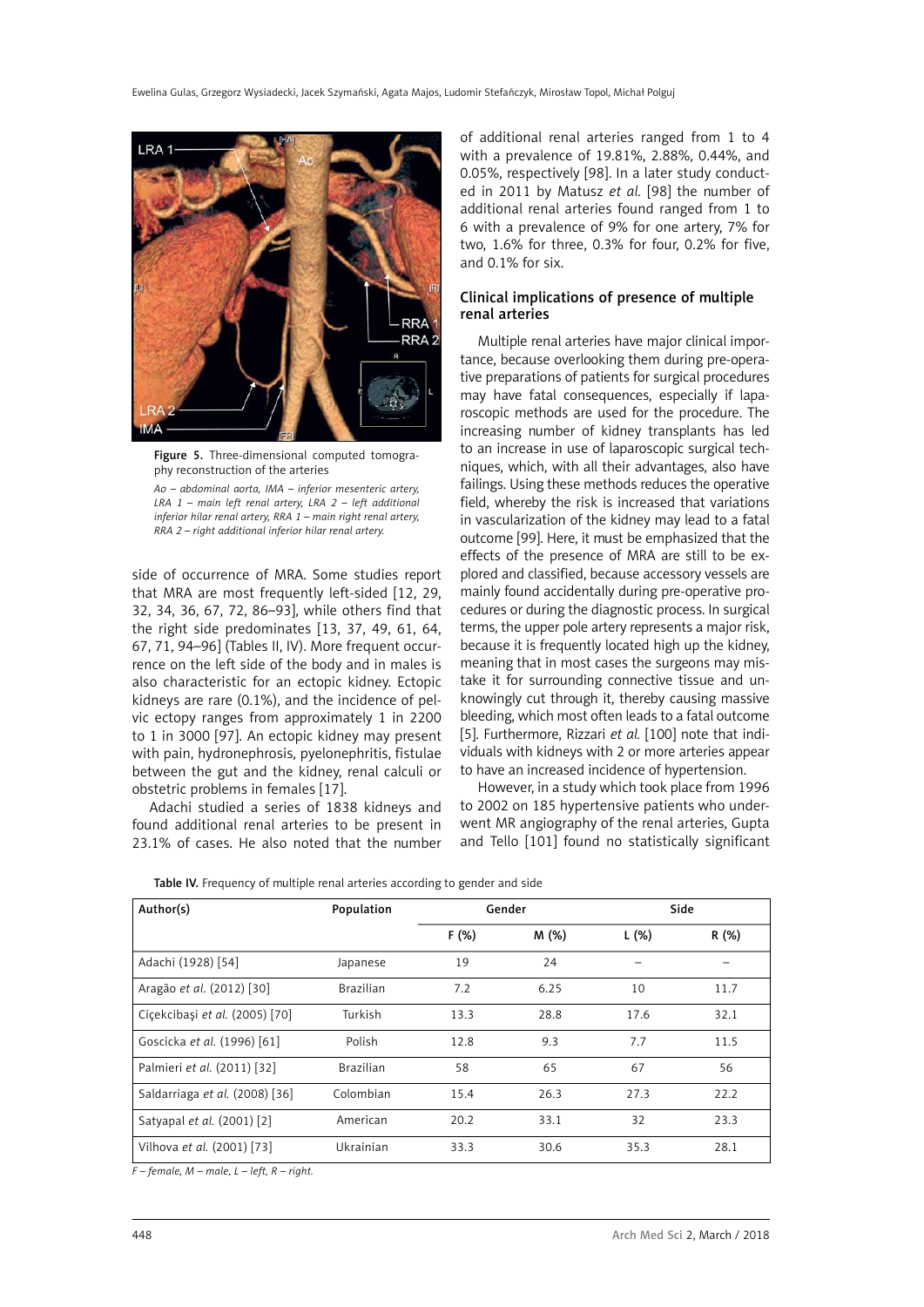

Figure 5. Three-dimensional computed tomography reconstruction of the arteries

*Ao – abdominal aorta, IMA – inferior mesenteric artery, LRA 1 – main left renal artery, LRA 2 – left additional inferior hilar renal artery, RRA 1 – main right renal artery, RRA 2 – right additional inferior hilar renal artery.*

side of occurrence of MRA. Some studies report that MRA are most frequently left-sided [12, 29, 32, 34, 36, 67, 72, 86–93], while others find that the right side predominates [13, 37, 49, 61, 64, 67, 71, 94–96] (Tables II, IV). More frequent occurrence on the left side of the body and in males is also characteristic for an ectopic kidney. Ectopic kidneys are rare (0.1%), and the incidence of pelvic ectopy ranges from approximately 1 in 2200 to 1 in 3000 [97]. An ectopic kidney may present with pain, hydronephrosis, pyelonephritis, fistulae between the gut and the kidney, renal calculi or obstetric problems in females [17].

Adachi studied a series of 1838 kidneys and found additional renal arteries to be present in 23.1% of cases. He also noted that the number

of additional renal arteries ranged from 1 to 4 with a prevalence of 19.81%, 2.88%, 0.44%, and 0.05%, respectively [98]. In a later study conducted in 2011 by Matusz *et al.* [98] the number of additional renal arteries found ranged from 1 to 6 with a prevalence of 9% for one artery, 7% for two, 1.6% for three, 0.3% for four, 0.2% for five, and 0.1% for six.

# Clinical implications of presence of multiple renal arteries

Multiple renal arteries have major clinical importance, because overlooking them during pre-operative preparations of patients for surgical procedures may have fatal consequences, especially if laparoscopic methods are used for the procedure. The increasing number of kidney transplants has led to an increase in use of laparoscopic surgical techniques, which, with all their advantages, also have failings. Using these methods reduces the operative field, whereby the risk is increased that variations in vascularization of the kidney may lead to a fatal outcome [99]. Here, it must be emphasized that the effects of the presence of MRA are still to be explored and classified, because accessory vessels are mainly found accidentally during pre-operative procedures or during the diagnostic process. In surgical terms, the upper pole artery represents a major risk, because it is frequently located high up the kidney, meaning that in most cases the surgeons may mistake it for surrounding connective tissue and unknowingly cut through it, thereby causing massive bleeding, which most often leads to a fatal outcome [5]. Furthermore, Rizzari et al. [100] note that individuals with kidneys with 2 or more arteries appear to have an increased incidence of hypertension.

However, in a study which took place from 1996 to 2002 on 185 hypertensive patients who underwent MR angiography of the renal arteries, Gupta and Tello [101] found no statistically significant

|  |  |  | Table IV. Frequency of multiple renal arteries according to gender and side |  |
|--|--|--|-----------------------------------------------------------------------------|--|

| Author(s)                      | Population       | Gender |       | Side  |       |
|--------------------------------|------------------|--------|-------|-------|-------|
|                                |                  | F(%)   | M (%) | L (%) | R (%) |
| Adachi (1928) [54]             | Japanese         | 19     | 24    |       |       |
| Aragão et al. (2012) [30]      | <b>Brazilian</b> | 7.2    | 6.25  | 10    | 11.7  |
| Ciçekcibaşi et al. (2005) [70] | Turkish          | 13.3   | 28.8  | 17.6  | 32.1  |
| Goscicka et al. (1996) [61]    | Polish           | 12.8   | 9.3   | 7.7   | 11.5  |
| Palmieri et al. (2011) [32]    | <b>Brazilian</b> | 58     | 65    | 67    | 56    |
| Saldarriaga et al. (2008) [36] | Colombian        | 15.4   | 26.3  | 27.3  | 22.2  |
| Satyapal et al. (2001) [2]     | American         | 20.2   | 33.1  | 32    | 23.3  |
| Vilhova et al. (2001) [73]     | Ukrainian        | 33.3   | 30.6  | 35.3  | 28.1  |

*F – female, M – male, L – left, R – right.*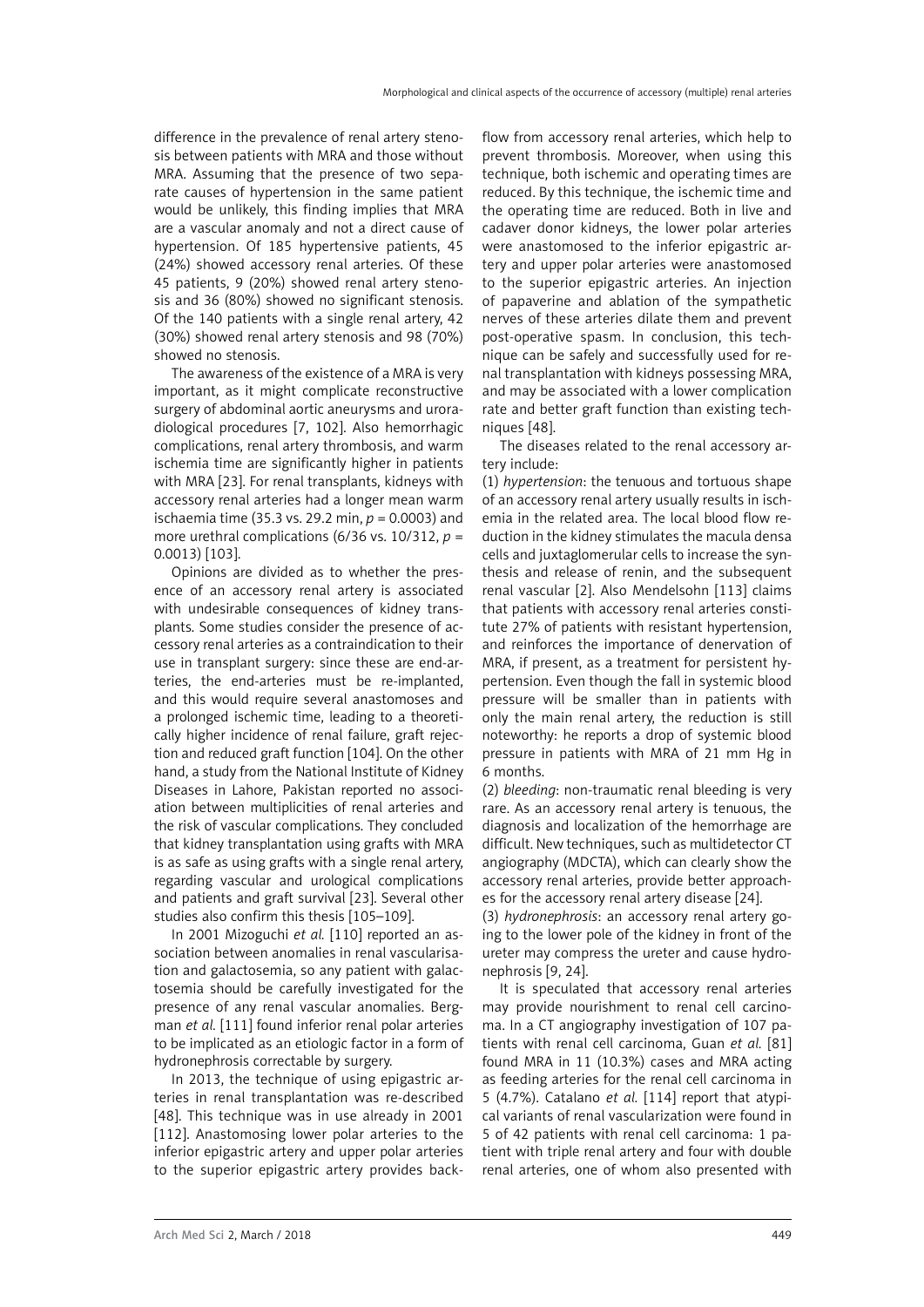difference in the prevalence of renal artery stenosis between patients with MRA and those without MRA. Assuming that the presence of two separate causes of hypertension in the same patient would be unlikely, this finding implies that MRA are a vascular anomaly and not a direct cause of hypertension. Of 185 hypertensive patients, 45 (24%) showed accessory renal arteries. Of these 45 patients, 9 (20%) showed renal artery stenosis and 36 (80%) showed no significant stenosis. Of the 140 patients with a single renal artery, 42 (30%) showed renal artery stenosis and 98 (70%) showed no stenosis.

The awareness of the existence of a MRA is very important, as it might complicate reconstructive surgery of abdominal aortic aneurysms and uroradiological procedures [7, 102]. Also hemorrhagic complications, renal artery thrombosis, and warm ischemia time are significantly higher in patients with MRA [23]. For renal transplants, kidneys with accessory renal arteries had a longer mean warm ischaemia time (35.3 vs. 29.2 min, *p* = 0.0003) and more urethral complications  $(6/36 \text{ vs. } 10/312, p =$ 0.0013) [103].

Opinions are divided as to whether the presence of an accessory renal artery is associated with undesirable consequences of kidney transplants. Some studies consider the presence of accessory renal arteries as a contraindication to their use in transplant surgery: since these are end-arteries, the end-arteries must be re-implanted, and this would require several anastomoses and a prolonged ischemic time, leading to a theoretically higher incidence of renal failure, graft rejection and reduced graft function [104]. On the other hand, a study from the National Institute of Kidney Diseases in Lahore, Pakistan reported no association between multiplicities of renal arteries and the risk of vascular complications. They concluded that kidney transplantation using grafts with MRA is as safe as using grafts with a single renal artery, regarding vascular and urological complications and patients and graft survival [23]. Several other studies also confirm this thesis [105–109].

In 2001 Mizoguchi *et al.* [110] reported an association between anomalies in renal vascularisation and galactosemia, so any patient with galactosemia should be carefully investigated for the presence of any renal vascular anomalies. Bergman *et al.* [111] found inferior renal polar arteries to be implicated as an etiologic factor in a form of hydronephrosis correctable by surgery.

In 2013, the technique of using epigastric arteries in renal transplantation was re-described [48]. This technique was in use already in 2001 [112]. Anastomosing lower polar arteries to the inferior epigastric artery and upper polar arteries to the superior epigastric artery provides backflow from accessory renal arteries, which help to prevent thrombosis. Moreover, when using this technique, both ischemic and operating times are reduced. By this technique, the ischemic time and the operating time are reduced. Both in live and cadaver donor kidneys, the lower polar arteries were anastomosed to the inferior epigastric artery and upper polar arteries were anastomosed to the superior epigastric arteries. An injection of papaverine and ablation of the sympathetic nerves of these arteries dilate them and prevent post-operative spasm. In conclusion, this technique can be safely and successfully used for renal transplantation with kidneys possessing MRA, and may be associated with a lower complication rate and better graft function than existing techniques [48].

The diseases related to the renal accessory artery include:

(1) *hypertension*: the tenuous and tortuous shape of an accessory renal artery usually results in ischemia in the related area. The local blood flow reduction in the kidney stimulates the macula densa cells and juxtaglomerular cells to increase the synthesis and release of renin, and the subsequent renal vascular [2]. Also Mendelsohn [113] claims that patients with accessory renal arteries constitute 27% of patients with resistant hypertension, and reinforces the importance of denervation of MRA, if present, as a treatment for persistent hypertension. Even though the fall in systemic blood pressure will be smaller than in patients with only the main renal artery, the reduction is still noteworthy: he reports a drop of systemic blood pressure in patients with MRA of 21 mm Hg in 6 months.

(2) *bleeding*: non-traumatic renal bleeding is very rare. As an accessory renal artery is tenuous, the diagnosis and localization of the hemorrhage are difficult. New techniques, such as multidetector CT angiography (MDCTA), which can clearly show the accessory renal arteries, provide better approaches for the accessory renal artery disease [24].

(3) *hydronephrosis*: an accessory renal artery going to the lower pole of the kidney in front of the ureter may compress the ureter and cause hydronephrosis [9, 24].

It is speculated that accessory renal arteries may provide nourishment to renal cell carcinoma. In a CT angiography investigation of 107 patients with renal cell carcinoma, Guan *et al.* [81] found MRA in 11 (10.3%) cases and MRA acting as feeding arteries for the renal cell carcinoma in 5 (4.7%). Catalano *et al.* [114] report that atypical variants of renal vascularization were found in 5 of 42 patients with renal cell carcinoma: 1 patient with triple renal artery and four with double renal arteries, one of whom also presented with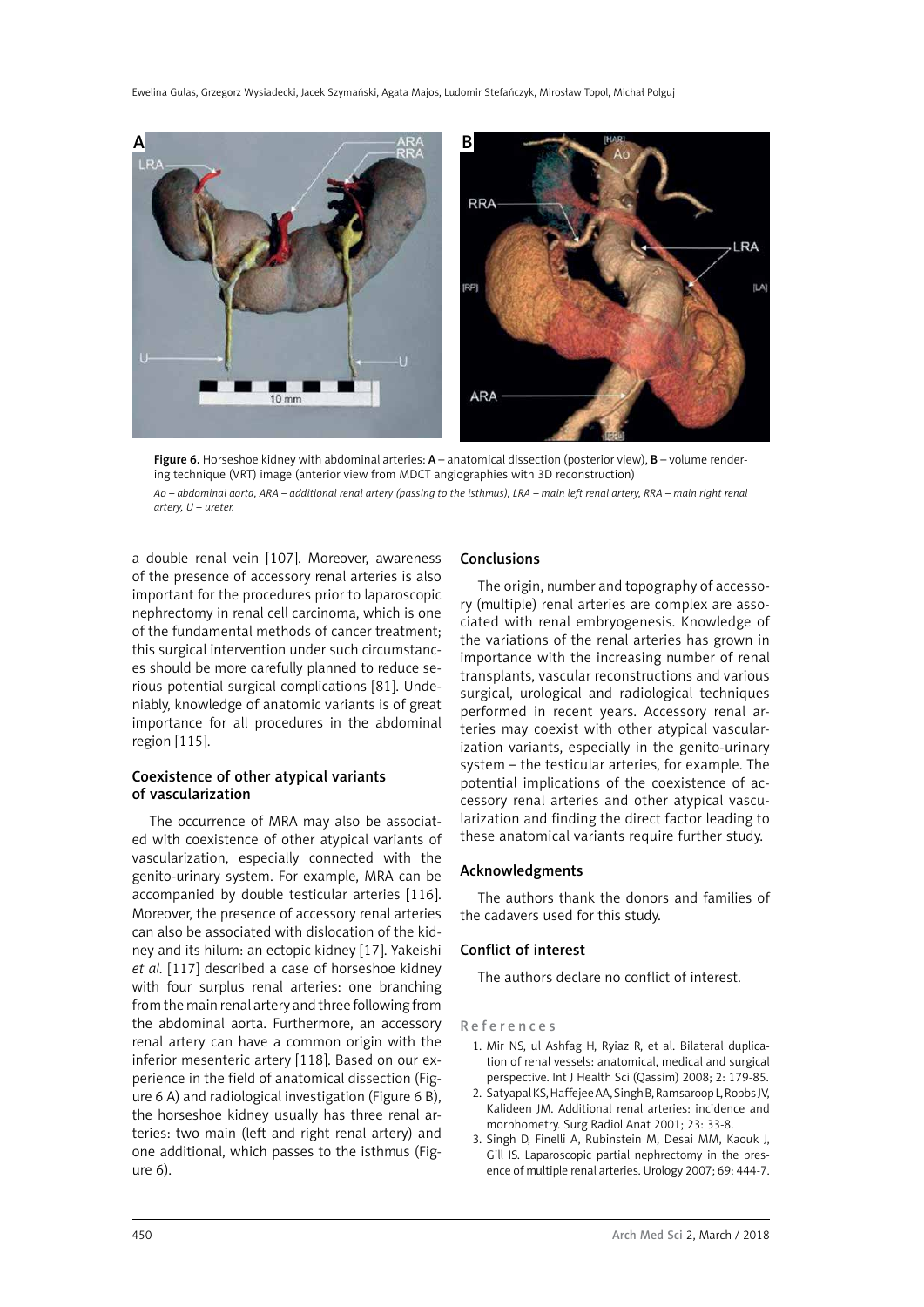



a double renal vein [107]. Moreover, awareness of the presence of accessory renal arteries is also important for the procedures prior to laparoscopic nephrectomy in renal cell carcinoma, which is one of the fundamental methods of cancer treatment; this surgical intervention under such circumstances should be more carefully planned to reduce serious potential surgical complications [81]. Undeniably, knowledge of anatomic variants is of great importance for all procedures in the abdominal region [115].

# Coexistence of other atypical variants of vascularization

The occurrence of MRA may also be associated with coexistence of other atypical variants of vascularization, especially connected with the genito-urinary system. For example, MRA can be accompanied by double testicular arteries [116]. Moreover, the presence of accessory renal arteries can also be associated with dislocation of the kidney and its hilum: an ectopic kidney [17]. Yakeishi *et al.* [117] described a case of horseshoe kidney with four surplus renal arteries: one branching from the main renal artery and three following from the abdominal aorta. Furthermore, an accessory renal artery can have a common origin with the inferior mesenteric artery [118]. Based on our experience in the field of anatomical dissection (Figure 6 A) and radiological investigation (Figure 6 B), the horseshoe kidney usually has three renal arteries: two main (left and right renal artery) and one additional, which passes to the isthmus (Figure 6).

# Conclusions

The origin, number and topography of accessory (multiple) renal arteries are complex are associated with renal embryogenesis. Knowledge of the variations of the renal arteries has grown in importance with the increasing number of renal transplants, vascular reconstructions and various surgical, urological and radiological techniques performed in recent years. Accessory renal arteries may coexist with other atypical vascularization variants, especially in the genito-urinary system – the testicular arteries, for example. The potential implications of the coexistence of accessory renal arteries and other atypical vascularization and finding the direct factor leading to these anatomical variants require further study.

#### Acknowledgments

The authors thank the donors and families of the cadavers used for this study.

#### Conflict of interest

The authors declare no conflict of interest.

References

- 1. Mir NS, ul Ashfag H, Ryiaz R, et al. Bilateral duplication of renal vessels: anatomical, medical and surgical perspective. Int J Health Sci (Qassim) 2008; 2: 179-85.
- 2. Satyapal KS, Haffejee AA, Singh B, Ramsaroop L, Robbs JV, Kalideen JM. Additional renal arteries: incidence and morphometry. Surg Radiol Anat 2001; 23: 33-8.
- 3. Singh D, Finelli A, Rubinstein M, Desai MM, Kaouk J, Gill IS. Laparoscopic partial nephrectomy in the presence of multiple renal arteries. Urology 2007; 69: 444-7.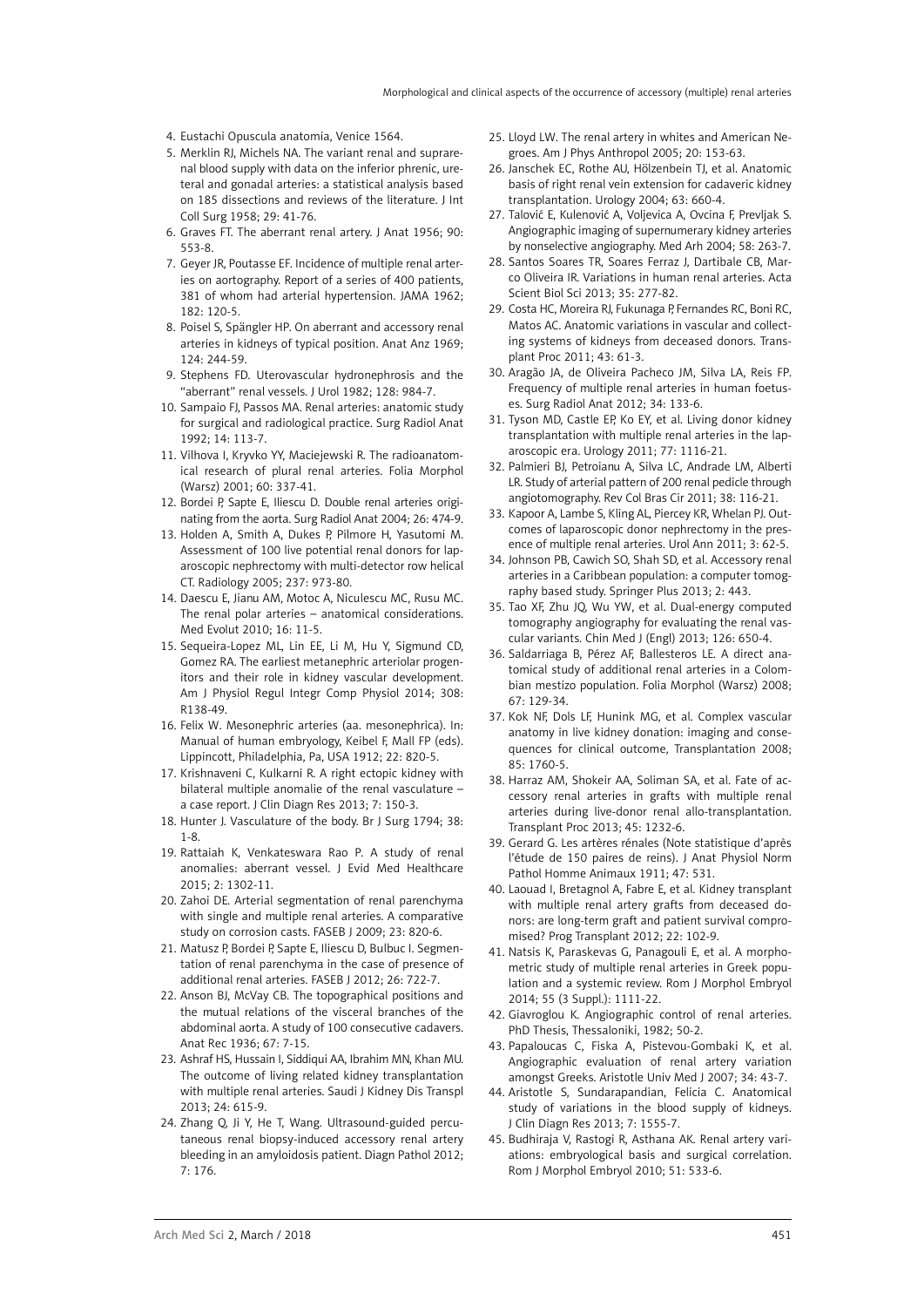- 4. Eustachi Opuscula anatomia, Venice 1564.
- 5. Merklin RJ, Michels NA. The variant renal and suprarenal blood supply with data on the inferior phrenic, ureteral and gonadal arteries: a statistical analysis based on 185 dissections and reviews of the literature. J Int Coll Surg 1958; 29: 41-76.
- 6. Graves FT. The aberrant renal artery. J Anat 1956; 90: 553-8.
- 7. Geyer JR, Poutasse EF. Incidence of multiple renal arteries on aortography. Report of a series of 400 patients, 381 of whom had arterial hypertension. JAMA 1962; 182: 120-5.
- 8. Poisel S, Spängler HP. On aberrant and accessory renal arteries in kidneys of typical position. Anat Anz 1969; 124: 244-59.
- 9. Stephens FD. Uterovascular hydronephrosis and the "aberrant" renal vessels. J Urol 1982; 128: 984-7.
- 10. Sampaio FJ, Passos MA. Renal arteries: anatomic study for surgical and radiological practice. Surg Radiol Anat 1992; 14: 113-7.
- 11. Vilhova I, Kryvko YY, Maciejewski R. The radioanatomical research of plural renal arteries. Folia Morphol (Warsz) 2001; 60: 337-41.
- 12. Bordei P, Sapte E, Iliescu D. Double renal arteries originating from the aorta. Surg Radiol Anat 2004; 26: 474-9.
- 13. Holden A, Smith A, Dukes P, Pilmore H, Yasutomi M. Assessment of 100 live potential renal donors for laparoscopic nephrectomy with multi-detector row helical CT. Radiology 2005; 237: 973-80.
- 14. Daescu E, Jianu AM, Motoc A, Niculescu MC, Rusu MC. The renal polar arteries – anatomical considerations. Med Evolut 2010; 16: 11-5.
- 15. Sequeira-Lopez ML, Lin EE, Li M, Hu Y, Sigmund CD, Gomez RA. The earliest metanephric arteriolar progenitors and their role in kidney vascular development. Am J Physiol Regul Integr Comp Physiol 2014; 308: R138-49.
- 16. Felix W. Mesonephric arteries (aa. mesonephrica). In: Manual of human embryology, Keibel F, Mall FP (eds). Lippincott, Philadelphia, Pa, USA 1912; 22: 820-5.
- 17. Krishnaveni C, Kulkarni R. A right ectopic kidney with bilateral multiple anomalie of the renal vasculature – a case report. J Clin Diagn Res 2013; 7: 150-3.
- 18. Hunter J. Vasculature of the body. Br J Surg 1794; 38: 1-8.
- 19. Rattaiah K, Venkateswara Rao P. A study of renal anomalies: aberrant vessel. J Evid Med Healthcare 2015; 2: 1302-11.
- 20. Zahoi DE. Arterial segmentation of renal parenchyma with single and multiple renal arteries. A comparative study on corrosion casts. FASEB J 2009; 23: 820-6.
- 21. Matusz P, Bordei P, Sapte E, Iliescu D, Bulbuc I. Segmentation of renal parenchyma in the case of presence of additional renal arteries. FASEB J 2012; 26: 722-7.
- 22. Anson BJ, McVay CB. The topographical positions and the mutual relations of the visceral branches of the abdominal aorta. A study of 100 consecutive cadavers. Anat Rec 1936; 67: 7-15.
- 23. Ashraf HS, Hussain I, Siddiqui AA, Ibrahim MN, Khan MU. The outcome of living related kidney transplantation with multiple renal arteries. Saudi J Kidney Dis Transpl 2013; 24: 615-9.
- 24. Zhang Q, Ji Y, He T, Wang. Ultrasound-guided percutaneous renal biopsy-induced accessory renal artery bleeding in an amyloidosis patient. Diagn Pathol 2012; 7: 176.
- 25. Lloyd LW. The renal artery in whites and American Negroes. Am J Phys Anthropol 2005; 20: 153-63.
- 26. Janschek EC, Rothe AU, Hölzenbein TJ, et al. Anatomic basis of right renal vein extension for cadaveric kidney transplantation. Urology 2004; 63: 660-4.
- 27. Talović E, Kulenović A, Voljevica A, Ovcina F, Prevljak S. Angiographic imaging of supernumerary kidney arteries by nonselective angiography. Med Arh 2004; 58: 263-7.
- 28. Santos Soares TR, Soares Ferraz J, Dartibale CB, Marco Oliveira IR. Variations in human renal arteries. Acta Scient Biol Sci 2013; 35: 277-82.
- 29. Costa HC, Moreira RJ, Fukunaga P, Fernandes RC, Boni RC, Matos AC. Anatomic variations in vascular and collecting systems of kidneys from deceased donors. Transplant Proc 2011; 43: 61-3.
- 30. Aragão JA, de Oliveira Pacheco JM, Silva LA, Reis FP. Frequency of multiple renal arteries in human foetuses. Surg Radiol Anat 2012; 34: 133-6.
- 31. Tyson MD, Castle EP, Ko EY, et al. Living donor kidney transplantation with multiple renal arteries in the laparoscopic era. Urology 2011; 77: 1116-21.
- 32. Palmieri BJ, Petroianu A, Silva LC, Andrade LM, Alberti LR. Study of arterial pattern of 200 renal pedicle through angiotomography. Rev Col Bras Cir 2011; 38: 116-21.
- 33. Kapoor A, Lambe S, Kling AL, Piercey KR, Whelan PJ. Outcomes of laparoscopic donor nephrectomy in the presence of multiple renal arteries. Urol Ann 2011; 3: 62-5.
- 34. Johnson PB, Cawich SO, Shah SD, et al. Accessory renal arteries in a Caribbean population: a computer tomography based study. Springer Plus 2013; 2: 443.
- 35. Tao XF, Zhu JQ, Wu YW, et al. Dual-energy computed tomography angiography for evaluating the renal vascular variants. Chin Med J (Engl) 2013; 126: 650-4.
- 36. Saldarriaga B, Pérez AF, Ballesteros LE. A direct anatomical study of additional renal arteries in a Colombian mestizo population. Folia Morphol (Warsz) 2008; 67: 129-34.
- 37. Kok NF, Dols LF, Hunink MG, et al. Complex vascular anatomy in live kidney donation: imaging and consequences for clinical outcome, Transplantation 2008; 85: 1760-5.
- 38. Harraz AM, Shokeir AA, Soliman SA, et al. Fate of accessory renal arteries in grafts with multiple renal arteries during live-donor renal allo-transplantation. Transplant Proc 2013; 45: 1232-6.
- 39. Gerard G. Les artères rénales (Note statistique d'après l'étude de 150 paires de reins). J Anat Physiol Norm Pathol Homme Animaux 1911; 47: 531.
- 40. Laouad I, Bretagnol A, Fabre E, et al. Kidney transplant with multiple renal artery grafts from deceased donors: are long-term graft and patient survival compromised? Prog Transplant 2012; 22: 102-9.
- 41. Natsis K, Paraskevas G, Panagouli E, et al. A morphometric study of multiple renal arteries in Greek population and a systemic review. Rom J Morphol Embryol 2014; 55 (3 Suppl.): 1111-22.
- 42. Giavroglou K. Angiographic control of renal arteries. PhD Thesis, Thessaloniki, 1982; 50-2.
- 43. Papaloucas C, Fiska A, Pistevou-Gombaki K, et al. Angiographic evaluation of renal artery variation amongst Greeks. Aristotle Univ Med J 2007; 34: 43-7.
- 44. Aristotle S, Sundarapandian, Felicia C. Anatomical study of variations in the blood supply of kidneys. J Clin Diagn Res 2013; 7: 1555-7.
- 45. Budhiraja V, Rastogi R, Asthana AK. Renal artery variations: embryological basis and surgical correlation. Rom J Morphol Embryol 2010; 51: 533-6.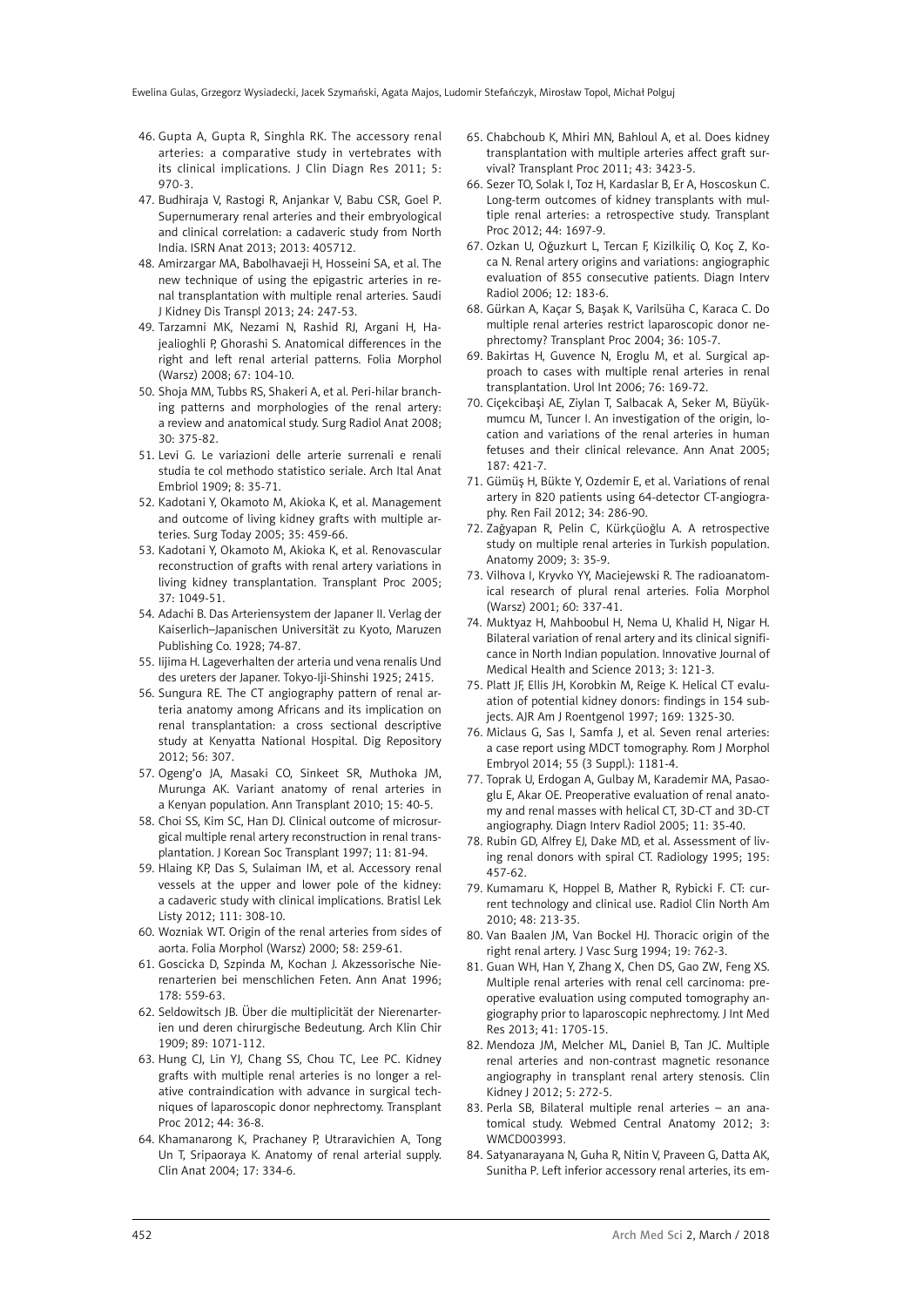- 46. Gupta A, Gupta R, Singhla RK. The accessory renal arteries: a comparative study in vertebrates with its clinical implications. J Clin Diagn Res 2011; 5: 970-3.
- 47. Budhiraja V, Rastogi R, Anjankar V, Babu CSR, Goel P. Supernumerary renal arteries and their embryological and clinical correlation: a cadaveric study from North India. ISRN Anat 2013; 2013: 405712.
- 48. Amirzargar MA, Babolhavaeji H, Hosseini SA, et al. The new technique of using the epigastric arteries in renal transplantation with multiple renal arteries. Saudi J Kidney Dis Transpl 2013; 24: 247-53.
- 49. Tarzamni MK, Nezami N, Rashid RJ, Argani H, Hajealioghli P, Ghorashi S. Anatomical differences in the right and left renal arterial patterns. Folia Morphol (Warsz) 2008; 67: 104-10.
- 50. Shoja MM, Tubbs RS, Shakeri A, et al. Peri-hilar branching patterns and morphologies of the renal artery: a review and anatomical study. Surg Radiol Anat 2008; 30: 375-82.
- 51. Levi G. Le variazioni delle arterie surrenali e renali studia te col methodo statistico seriale. Arch Ital Anat Embriol 1909; 8: 35-71.
- 52. Kadotani Y, Okamoto M, Akioka K, et al. Management and outcome of living kidney grafts with multiple arteries. Surg Today 2005; 35: 459-66.
- 53. Kadotani Y, Okamoto M, Akioka K, et al. Renovascular reconstruction of grafts with renal artery variations in living kidney transplantation. Transplant Proc 2005; 37: 1049-51.
- 54. Adachi B. Das Arteriensystem der Japaner II. Verlag der Kaiserlich–Japanischen Universität zu Kyoto, Maruzen Publishing Co. 1928; 74-87.
- 55. Iijima H. Lageverhalten der arteria und vena renalis Und des ureters der Japaner. Tokyo-Iji-Shinshi 1925; 2415.
- 56. Sungura RE. The CT angiography pattern of renal arteria anatomy among Africans and its implication on renal transplantation: a cross sectional descriptive study at Kenyatta National Hospital. Dig Repository 2012; 56: 307.
- 57. Ogeng'o JA, Masaki CO, Sinkeet SR, Muthoka JM, Murunga AK. Variant anatomy of renal arteries in a Kenyan population. Ann Transplant 2010; 15: 40-5.
- 58. Choi SS, Kim SC, Han DJ. Clinical outcome of microsurgical multiple renal artery reconstruction in renal transplantation. J Korean Soc Transplant 1997; 11: 81-94.
- 59. Hlaing KP, Das S, Sulaiman IM, et al. Accessory renal vessels at the upper and lower pole of the kidney: a cadaveric study with clinical implications. Bratisl Lek Listy 2012; 111: 308-10.
- 60. Wozniak WT. Origin of the renal arteries from sides of aorta. Folia Morphol (Warsz) 2000; 58: 259-61.
- 61. Goscicka D, Szpinda M, Kochan J. Akzessorische Nierenarterien bei menschlichen Feten. Ann Anat 1996; 178: 559-63.
- 62. Seldowitsch JB. Über die multiplicität der Nierenarterien und deren chirurgische Bedeutung. Arch Klin Chir 1909; 89: 1071-112.
- 63. Hung CJ, Lin YJ, Chang SS, Chou TC, Lee PC. Kidney grafts with multiple renal arteries is no longer a relative contraindication with advance in surgical techniques of laparoscopic donor nephrectomy. Transplant Proc 2012; 44: 36-8.
- 64. Khamanarong K, Prachaney P, Utraravichien A, Tong Un T, Sripaoraya K. Anatomy of renal arterial supply. Clin Anat 2004; 17: 334-6.
- 65. Chabchoub K, Mhiri MN, Bahloul A, et al. Does kidney transplantation with multiple arteries affect graft survival? Transplant Proc 2011; 43: 3423-5.
- 66. Sezer TO, Solak I, Toz H, Kardaslar B, Er A, Hoscoskun C. Long-term outcomes of kidney transplants with multiple renal arteries: a retrospective study. Transplant Proc 2012; 44: 1697-9.
- 67. Ozkan U, Oğuzkurt L, Tercan F, Kizilkiliç O, Koç Z, Koca N. Renal artery origins and variations: angiographic evaluation of 855 consecutive patients. Diagn Interv Radiol 2006; 12: 183-6.
- 68. Gürkan A, Kaçar S, Başak K, Varilsüha C, Karaca C. Do multiple renal arteries restrict laparoscopic donor nephrectomy? Transplant Proc 2004; 36: 105-7.
- 69. Bakirtas H, Guvence N, Eroglu M, et al. Surgical approach to cases with multiple renal arteries in renal transplantation. Urol Int 2006; 76: 169-72.
- 70. Ciçekcibaşi AE, Ziylan T, Salbacak A, Seker M, Büyükmumcu M, Tuncer I. An investigation of the origin, location and variations of the renal arteries in human fetuses and their clinical relevance. Ann Anat 2005; 187: 421-7.
- 71. Gümüş H, Bükte Y, Ozdemir E, et al. Variations of renal artery in 820 patients using 64-detector CT-angiography. Ren Fail 2012; 34: 286-90.
- 72. Zağyapan R, Pelin C, Kürkçüoğlu A. A retrospective study on multiple renal arteries in Turkish population. Anatomy 2009; 3: 35-9.
- 73. Vilhova I, Kryvko YY, Maciejewski R. The radioanatomical research of plural renal arteries. Folia Morphol (Warsz) 2001; 60: 337-41.
- 74. Muktyaz H, Mahboobul H, Nema U, Khalid H, Nigar H. Bilateral variation of renal artery and its clinical significance in North Indian population. Innovative Journal of Medical Health and Science 2013; 3: 121-3.
- 75. Platt JF, Ellis JH, Korobkin M, Reige K. Helical CT evaluation of potential kidney donors: findings in 154 subjects. AJR Am J Roentgenol 1997; 169: 1325-30.
- 76. Miclaus G, Sas I, Samfa J, et al. Seven renal arteries: a case report using MDCT tomography. Rom J Morphol Embryol 2014; 55 (3 Suppl.): 1181-4.
- 77. Toprak U, Erdogan A, Gulbay M, Karademir MA, Pasaoglu E, Akar OE. Preoperative evaluation of renal anatomy and renal masses with helical CT, 3D-CT and 3D-CT angiography. Diagn Interv Radiol 2005; 11: 35-40.
- 78. Rubin GD, Alfrey EJ, Dake MD, et al. Assessment of living renal donors with spiral CT. Radiology 1995; 195: 457-62.
- 79. Kumamaru K, Hoppel B, Mather R, Rybicki F. CT: current technology and clinical use. Radiol Clin North Am 2010; 48: 213-35.
- 80. Van Baalen JM, Van Bockel HJ. Thoracic origin of the right renal artery. J Vasc Surg 1994; 19: 762-3.
- 81. [Guan WH,](http://www.ncbi.nlm.nih.gov/pubmed/?term=Guan WH%5BAuthor%5D&cauthor=true&cauthor_uid=24003054) [Han Y,](http://www.ncbi.nlm.nih.gov/pubmed/?term=Han Y%5BAuthor%5D&cauthor=true&cauthor_uid=24003054) [Zhang X,](http://www.ncbi.nlm.nih.gov/pubmed/?term=Zhang X%5BAuthor%5D&cauthor=true&cauthor_uid=24003054) [Chen DS](http://www.ncbi.nlm.nih.gov/pubmed/?term=Chen DS%5BAuthor%5D&cauthor=true&cauthor_uid=24003054), [Gao ZW,](http://www.ncbi.nlm.nih.gov/pubmed/?term=Gao ZW%5BAuthor%5D&cauthor=true&cauthor_uid=24003054) [Feng XS](http://www.ncbi.nlm.nih.gov/pubmed/?term=Feng XS%5BAuthor%5D&cauthor=true&cauthor_uid=24003054). Multiple renal arteries with renal cell carcinoma: preoperative evaluation using computed tomography angiography prior to laparoscopic nephrectomy. J Int Med Res 2013; 41: 1705-15.
- 82. Mendoza JM, Melcher ML, Daniel B, Tan JC. Multiple renal arteries and non-contrast magnetic resonance angiography in transplant renal artery stenosis. Clin Kidney J 2012; 5: 272-5.
- 83. Perla SB, Bilateral multiple renal arteries an anatomical study. Webmed Central Anatomy 2012; 3: WMCD003993.
- 84. Satyanarayana N, Guha R, Nitin V, Praveen G, Datta AK, Sunitha P. Left inferior accessory renal arteries, its em-